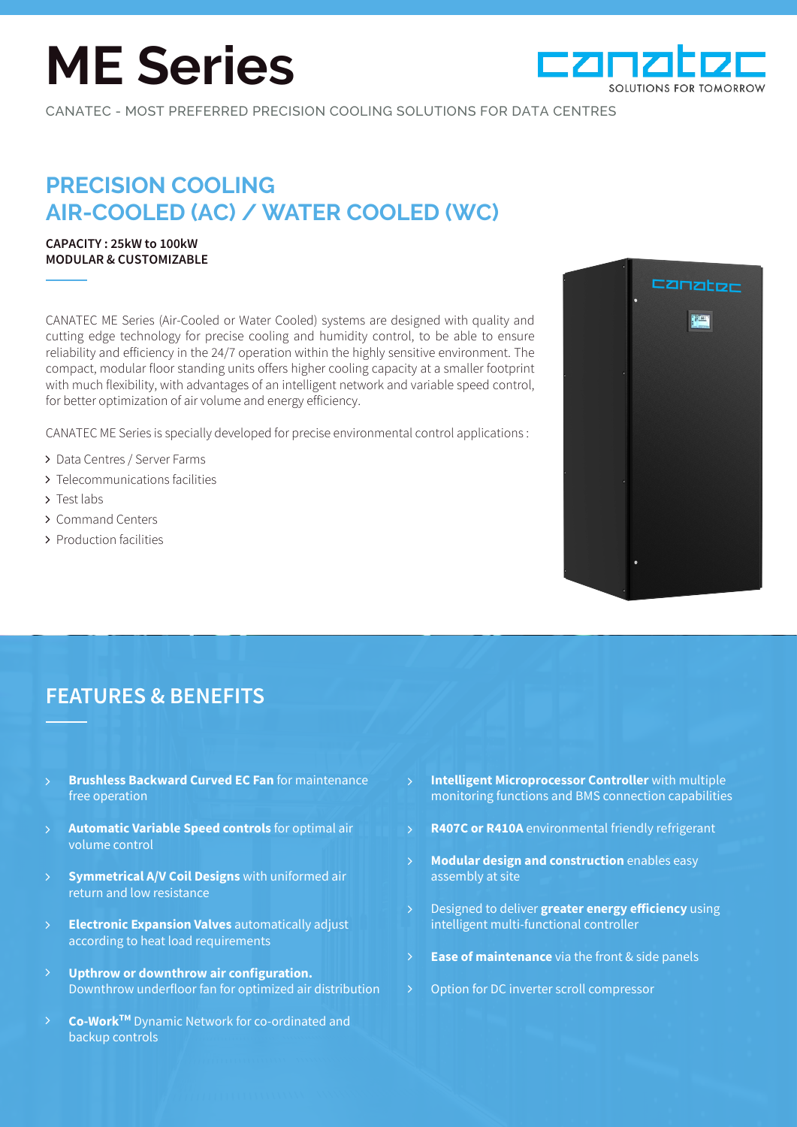# **ME Series**



CANATEC - MOST PREFERRED PRECISION COOLING SOLUTIONS FOR DATA CENTRES

## **PRECISION COOLING AIR-COOLED (AC) / WATER COOLED (WC)**

#### **CAPACITY : 25kW to 100kW MODULAR & CUSTOMIZABLE**

CANATEC ME Series (Air-Cooled or Water Cooled) systems are designed with quality and cutting edge technology for precise cooling and humidity control, to be able to ensure reliability and efficiency in the 24/7 operation within the highly sensitive environment. The compact, modular floor standing units offers higher cooling capacity at a smaller footprint with much flexibility, with advantages of an intelligent network and variable speed control, for better optimization of air volume and energy efficiency.

CANATEC ME Series is specially developed for precise environmental control applications :

- > Data Centres / Server Farms
- > Telecommunications facilities
- > Test labs
- Command Centers
- > Production facilities



### **FEATURES & BENEFITS**

- **Brushless Backward Curved EC Fan** for maintenance free operation
- **Automatic Variable Speed controls** for optimal air volume control  $\mathsf{P}$
- **Symmetrical A/V Coil Designs** with uniformed air return and low resistance
- **Electronic Expansion Valves** automatically adjust according to heat load requirements  $\mathbf{\hat{}}$
- **Upthrow or downthrow air configuration.**  Downthrow underfloor fan for optimized air distribution
- **Co-WorkTM** Dynamic Network for co-ordinated and backup controls  $\mathsf{P}$
- **Intelligent Microprocessor Controller** with multiple monitoring functions and BMS connection capabilities
- **R407C or R410A** environmental friendly refrigerant
- **Modular design and construction** enables easy assembly at site  $\mathcal{P}$
- Designed to deliver **greater energy efficiency** using intelligent multi-functional controller
- **Ease of maintenance** via the front & side panels  $\mathcal{P}$
- Option for DC inverter scroll compressor